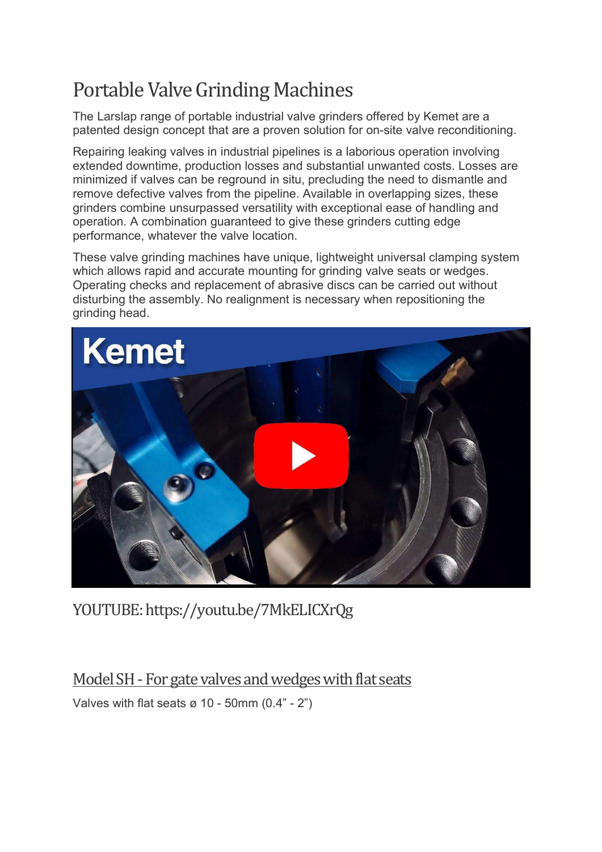## Portable Valve Grinding Machines

The Larslap range of portable industrial valve grinders offered by Kemet are a patented design concept that are a proven solution for on-site valve reconditioning.

Repairing leaking valves in industrial pipelines is a laborious operation involving extended downtime, production losses and substantial unwanted costs. Losses are minimized if valves can be reground in situ, precluding the need to dismantle and remove defective valves from the pipeline. Available in overlapping sizes, these grinders combine unsurpassed versatility with exceptional ease of handling and operation. A combination guaranteed to give these grinders cutting edge performance, whatever the valve location.

These valve grinding machines have unique, lightweight universal clamping system which allows rapid and accurate mounting for grinding valve seats or wedges. Operating checks and replacement of abrasive discs can be carried out without disturbing the assembly. No realignment is necessary when repositioning the grinding head.



YOUTUBE: https://youtu.be/7MkELICXrQg

Model SH - For gate valves and wedges with flat seats

Valves with flat seats  $\varnothing$  10 - 50mm (0.4" - 2")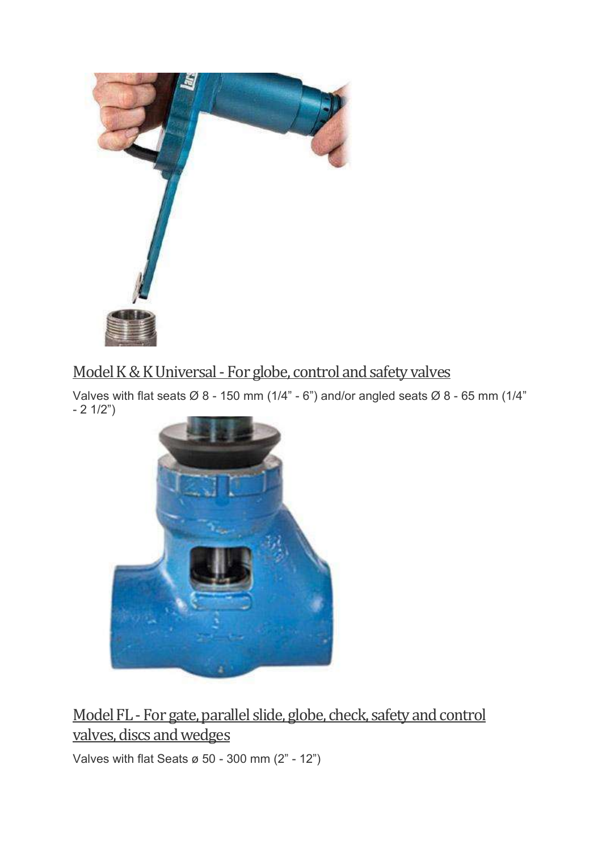

## Model K & K Universal - For globe, control and safety valves

Valves with flat seats  $\varnothing$  8 - 150 mm (1/4" - 6") and/or angled seats  $\varnothing$  8 - 65 mm (1/4" - 2 1/2")



Model FL - For gate, parallel slide, globe, check, safety and control valves, discs and wedges

Valves with flat Seats ø 50 - 300 mm (2" - 12")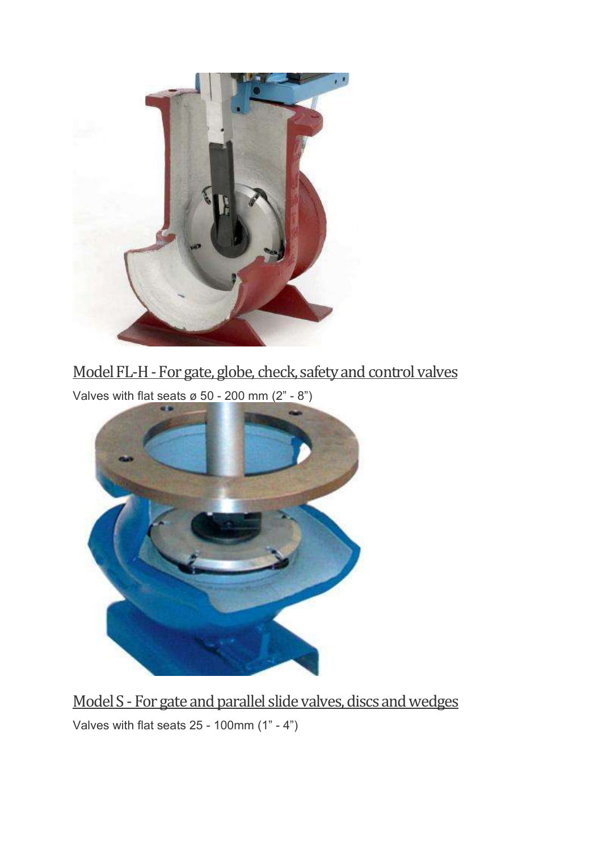

## Model FL-H - For gate, globe, check, safety and control valves

Valves with flat seats  $\varnothing$  50 - 200 mm (2" - 8")



Model S - For gate and parallel slide valves, discs and wedges Valves with flat seats 25 - 100mm (1" - 4")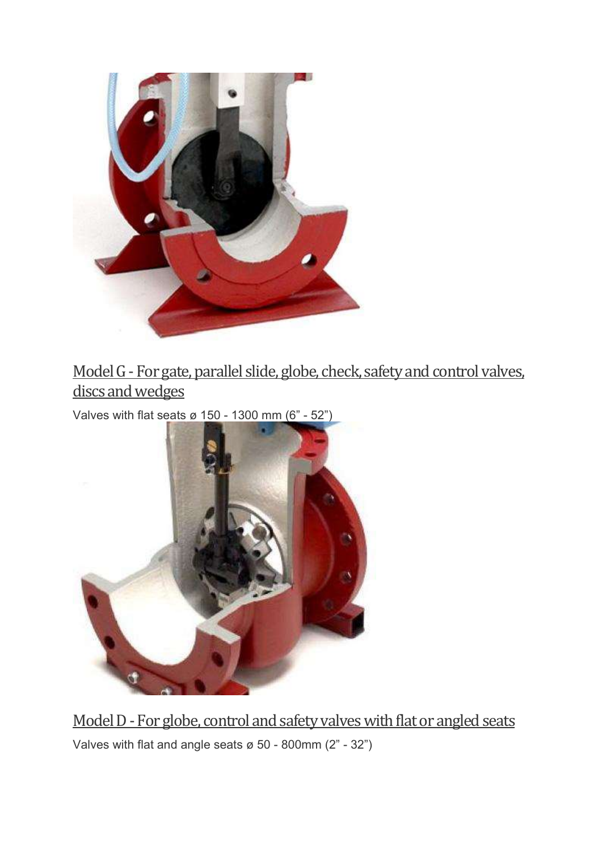

Model G - For gate, parallel slide, globe, check, safety and control valves, discs and wedges

Valves with flat seats ø 150 - 1300 mm  $(6" - 52")$ 



Model D - For globe, control and safety valves with flat or angled seats Valves with flat and angle seats ø 50 - 800mm (2" - 32")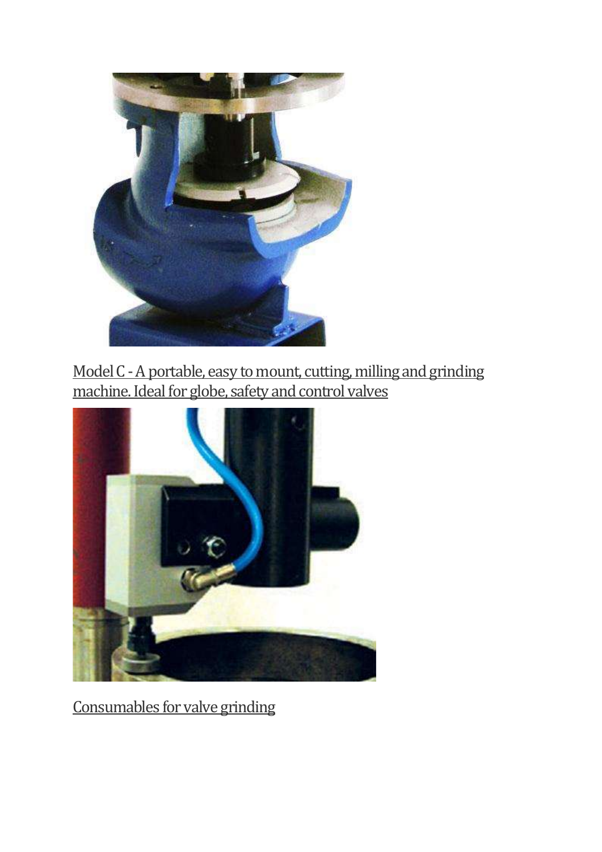

Model C - A portable, easy to mount, cutting, milling and grinding machine. Ideal for globe, safety and control valves



Consumables for valve grinding